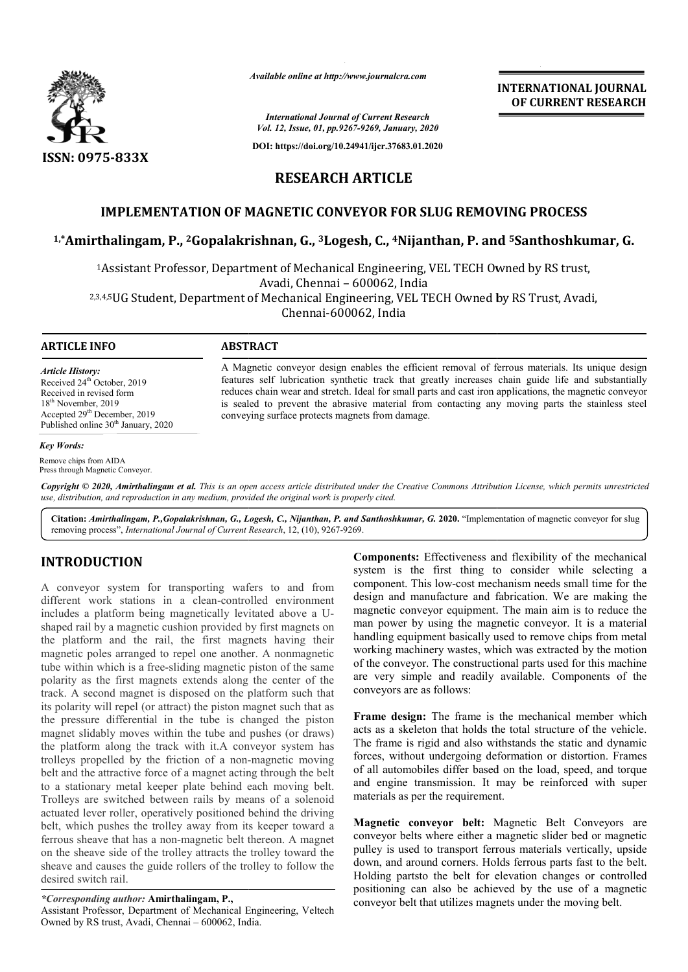

*Available online at http://www.journalcra.com*

*International Journal of Current Research Vol. 12, Issue, 01, pp.9267-9269, January, 2020*

**DOI: https://doi.org/10.24941/ijcr.37683.01.2020**

**INTERNATIONAL JOURNAL OF CURRENT RESEARCH**

# **RESEARCH ARTICLE**

## **IMPLEMENTATION OF MAGNETIC CONVEYOR FOR SLUG REMOVING PROCESS**

## **1,\*Amirthalingam, P., 2Gopalakrishnan, Gopalakrishnan, G., 3Logesh, C., 4Nijanthan, P. and 5Santhoshkumar, G.**

<sup>1</sup>Assistant Professor, Department of Mechanical Engineering, VEL TECH Owned by RS trust, Avadi, Chennai – 600062, India

2,3,4,5UG Student, Department of Mechanical Engineering, VEL TECH Owned by RS Trust, Avadi,

Chennai-600062, India

## **ARTICLE INFO ABSTRACT**

*Article History:* Received 24<sup>th</sup> October, 2019 Received in revised form 18<sup>th</sup> November, 2019 Accepted 29<sup>th</sup> December, 2019 Published online 30<sup>th</sup> January, 2020

#### *Key Words:*

Remove chips from AIDA Press through Magnetic Conveyor. A Magnetic conveyor design enables the efficient removal of ferrous materials. Its unique design features self lubrication synthetic track that greatly increases chain guide life and substantially reduces chain wear and stretch. Ideal for small parts and cast iron applications, the magnetic conveyor is sealed to prevent the abrasive material from contacting any moving parts the stainless steel conveying surface protects magnets from damage.

Copyright © 2020, Amirthalingam et al. This is an open access article distributed under the Creative Commons Attribution License, which permits unrestrictea *use, distribution, and reproduction in any medium, provided the original work is properly cited.*

Citation: Amirthalingam, P., Gopalakrishnan, G., Logesh, C., Nijanthan, P. and Santhoshkumar, G. 2020. "Implementation of magnetic conveyor for slug removing process", *International Journal of Current Research*, 12, (10), 9267-9269.

# **INTRODUCTION**

A conveyor system for transporting wafers to and from different work stations in a clean-controlled environment includes a platform being magnetically levitated above a Ushaped rail by a magnetic cushion provided by first magnets on the platform and the rail, the first magnets having their magnetic poles arranged to repel one another. A nonmagnetic tube within which is a free-sliding magnetic piston of the same polarity as the first magnets extends along the center of the track. A second magnet is disposed on the platform such that its polarity will repel (or attract) the piston magnet such that as the pressure differential in the tube is changed the piston magnet slidably moves within the tube and pushes (or draws) the platform along the track with it.A conveyor system has trolleys propelled by the friction of a non-magnetic moving belt and the attractive force of a magnet acting through the belt to a stationary metal keeper plate behind each moving belt. Trolleys are switched between rails by means of a solenoid actuated lever roller, operatively positioned behind the driving belt, which pushes the trolley away from its keeper toward a ferrous sheave that has a non-magnetic belt thereon. A magnet on the sheave side of the trolley attracts the trolley toward the sheave and causes the guide rollers of the trolley to follow the desired switch rail.

## *\*Corresponding author:* **Amirthalingam, P.,**

Assistant Professor, Department of Mechanical Engineering, Veltech Owned by RS trust, Avadi, Chennai – 600062, India.

**Components:** Effectiveness and flexibility of the mechanical system is the first thing to consider while selecting a component. This low-cost mechanism needs small time for the design and manufacture and fabrication. We are making the magnetic conveyor equipment. The main aim is to reduce the man power by using the magnetic conveyor. It is a material handling equipment basically used to remove chips from metal working machinery wastes, which was extracted by the motion of the conveyor. The constructional parts used for this machine are very simple and readily available. Components of the conveyors are as follows:

**Frame design:** The frame is the mechanical member which acts as a skeleton that holds the total structure of the vehicle. The frame is rigid and also withstands the static and dynamic forces, without undergoing deformation or distortion. Frames of all automobiles differ based on the load, speed, and torque and engine transmission. It may be reinforced with super materials as per the requirement.

**Magnetic conveyor belt:** Magnetic Belt Conveyors are conveyor belts where either a magnetic slider bed or magnetic pulley is used to transport ferrous materials vertically, upside down, and around corners. Holds ferrous parts fast to the belt. Holding partsto the belt for elevation changes or controlled positioning can also be achieved by the use of a magnetic conveyor belt that utilizes magnets under the moving belt.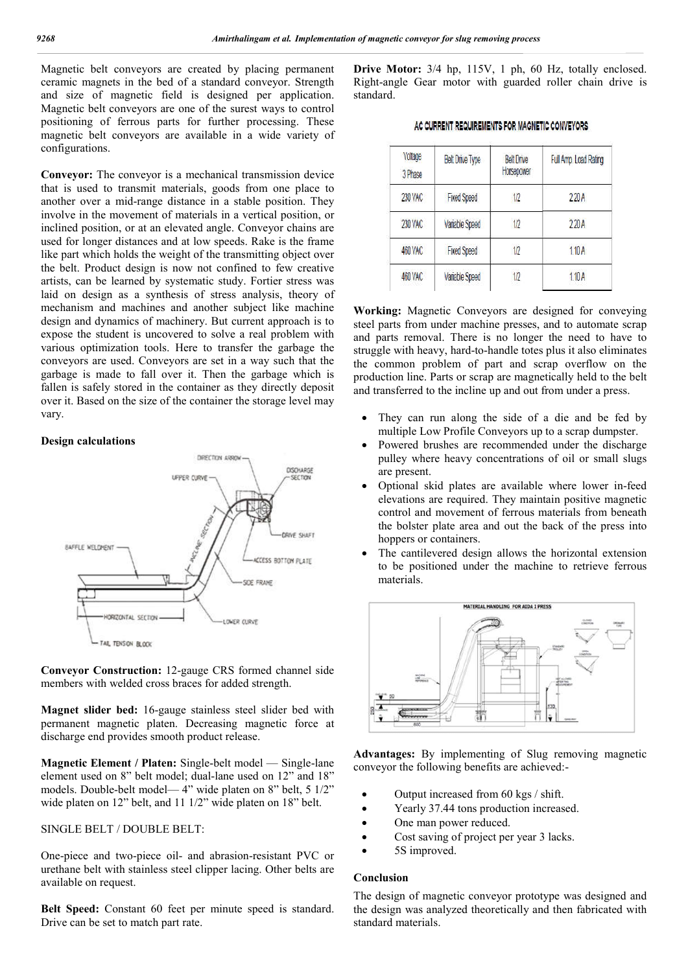Magnetic belt conveyors are created by placing permanent ceramic magnets in the bed of a standard conveyor. Strength and size of magnetic field is designed per application. Magnetic belt conveyors are one of the surest ways to control positioning of ferrous parts for further processing. These magnetic belt conveyors are available in a wide variety of configurations.

**Convevor:** The convevor is a mechanical transmission device that is used to transmit materials, goods from one place to another over a mid-range distance in a stable position. They involve in the movement of materials in a vertical position, or inclined position, or at an elevated angle. Conveyor chains are used for longer distances and at low speeds. Rake is the frame like part which holds the weight of the transmitting object over the belt. Product design is now not confined to few creative artists, can be learned by systematic study. Fortier stress was laid on design as a synthesis of stress analysis, theory of mechanism and machines and another subject like machine design and dynamics of machinery. But current approach is to expose the student is uncovered to solve a real problem with various optimization tools. Here to transfer the garbage the conveyors are used. Conveyors are set in a way such that the garbage is made to fall over it. Then the garbage which is fallen is safely stored in the container as they directly deposit over it. Based on the size of the container the storage level may vary.

### **Design calculations**



**Conveyor Construction:** 12-gauge CRS formed channel side members with welded cross braces for added strength.

**Magnet slider bed:** 16-gauge stainless steel slider bed with permanent magnetic platen. Decreasing magnetic force at discharge end provides smooth product release.

**Magnetic Element / Platen:** Single-belt model — Single-lane element used on 8" belt model; dual-lane used on 12" and 18" models. Double-belt model— 4" wide platen on 8" belt, 5 1/2" wide platen on 12" belt, and 11 1/2" wide platen on 18" belt.

## SINGLE BELT / DOUBLE BELT:

One-piece and two-piece oil- and abrasion-resistant PVC or urethane belt with stainless steel clipper lacing. Other belts are available on request.

**Belt Speed:** Constant 60 feet per minute speed is standard. Drive can be set to match part rate.

**Drive Motor:** 3/4 hp, 115V, 1 ph, 60 Hz, totally enclosed. Right-angle Gear motor with guarded roller chain drive is standard.

|  | AC CURRENT REQUIREMENTS FOR MAGNETIC CONVEYORS |
|--|------------------------------------------------|
|--|------------------------------------------------|

| Voltage<br>3 Phase | <b>Belt Drive Type</b> | <b>Belt Drive</b><br>Horsepower | Full Amp. Load Rating |
|--------------------|------------------------|---------------------------------|-----------------------|
| 230 VAC            | <b>Fixed Speed</b>     | 1/2                             | 220A                  |
| 230 VAC            | Variable Speed         | 1/2                             | 220A                  |
| 460 VAC            | <b>Fixed Speed</b>     | 1/2                             | 1.10A                 |
| 460 VAC            | Variable Speed         | 1/2                             | 1.10 A                |

**Working:** Magnetic Conveyors are designed for conveying steel parts from under machine presses, and to automate scrap and parts removal. There is no longer the need to have to struggle with heavy, hard-to-handle totes plus it also eliminates the common problem of part and scrap overflow on the production line. Parts or scrap are magnetically held to the belt and transferred to the incline up and out from under a press.

- They can run along the side of a die and be fed by multiple Low Profile Conveyors up to a scrap dumpster.
- Powered brushes are recommended under the discharge pulley where heavy concentrations of oil or small slugs are present.
- Optional skid plates are available where lower in-feed elevations are required. They maintain positive magnetic control and movement of ferrous materials from beneath the bolster plate area and out the back of the press into hoppers or containers.
- The cantilevered design allows the horizontal extension to be positioned under the machine to retrieve ferrous materials.



**Advantages:** By implementing of Slug removing magnetic conveyor the following benefits are achieved:-

- Output increased from 60 kgs / shift.
- Yearly 37.44 tons production increased.
- One man power reduced.
- Cost saving of project per year 3 lacks.
- 5S improved.

#### **Conclusion**

The design of magnetic conveyor prototype was designed and the design was analyzed theoretically and then fabricated with standard materials.